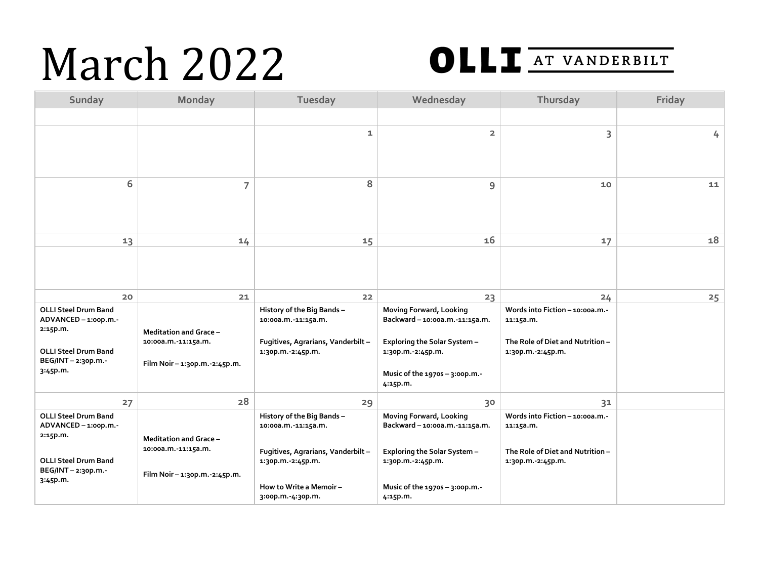## March 2022



| Sunday                                                                                                                         | Monday                                                                                  | Tuesday                                                                                                                                                       | Wednesday                                                                                                                                                  | Thursday                                                                                             | Friday |
|--------------------------------------------------------------------------------------------------------------------------------|-----------------------------------------------------------------------------------------|---------------------------------------------------------------------------------------------------------------------------------------------------------------|------------------------------------------------------------------------------------------------------------------------------------------------------------|------------------------------------------------------------------------------------------------------|--------|
|                                                                                                                                |                                                                                         |                                                                                                                                                               |                                                                                                                                                            |                                                                                                      |        |
|                                                                                                                                |                                                                                         | 1                                                                                                                                                             | $\overline{2}$                                                                                                                                             | 3                                                                                                    | 4      |
| 6                                                                                                                              | 7                                                                                       | 8                                                                                                                                                             | 9                                                                                                                                                          | 10                                                                                                   | 11     |
| 13                                                                                                                             | 14                                                                                      | 15                                                                                                                                                            | 16                                                                                                                                                         | 17                                                                                                   | 18     |
|                                                                                                                                |                                                                                         |                                                                                                                                                               |                                                                                                                                                            |                                                                                                      |        |
| 20                                                                                                                             | 21                                                                                      | 22                                                                                                                                                            | 23                                                                                                                                                         | 24                                                                                                   | 25     |
| <b>OLLI Steel Drum Band</b><br>ADVANCED-1:00p.m.-<br>2:15p.m.<br><b>OLLI Steel Drum Band</b><br>BEG/INT - 2:30p.m.<br>3:45p.m. | <b>Meditation and Grace -</b><br>10:00a.m.-11:15a.m.<br>Film Noir - 1:30p.m. - 2:45p.m. | History of the Big Bands-<br>10:00a.m.-11:15a.m.<br>Fugitives, Agrarians, Vanderbilt-<br>1:30p.m. - 2:45p.m.                                                  | Moving Forward, Looking<br>Backward-10:00a.m. 11:15a.m.<br>Exploring the Solar System -<br>1:30p.m.-2:45p.m.<br>Music of the 1970s - 3:00p.m.-<br>4:15p.m. | Words into Fiction - 10:00a.m.<br>11:15a.m.<br>The Role of Diet and Nutrition -<br>1:30p.m.-2:45p.m. |        |
| 27                                                                                                                             | 28                                                                                      | 29                                                                                                                                                            | 30                                                                                                                                                         | 31                                                                                                   |        |
| <b>OLLI Steel Drum Band</b><br>ADVANCED-1:00p.m.-<br>2:15p.m.<br><b>OLLI Steel Drum Band</b><br>BEG/INT-2:30p.m.-<br>3:45p.m.  | Meditation and Grace-<br>10:00a.m. - 11:15a.m.<br>Film Noir - 1:30p.m. - 2:45p.m.       | History of the Big Bands-<br>10:00a.m.-11:15a.m.<br>Fugitives, Agrarians, Vanderbilt -<br>1:30p.m. - 2:45p.m.<br>How to Write a Memoir -<br>3:00p.m. 4:30p.m. | Moving Forward, Looking<br>Backward-10:00a.m.-11:15a.m.<br>Exploring the Solar System -<br>1:30p.m.-2:45p.m.<br>Music of the 1970s - 3:00p.m.-<br>4:15p.m. | Words into Fiction - 10:00a.m.<br>11:15a.m.<br>The Role of Diet and Nutrition -<br>1:30p.m. 2:45p.m. |        |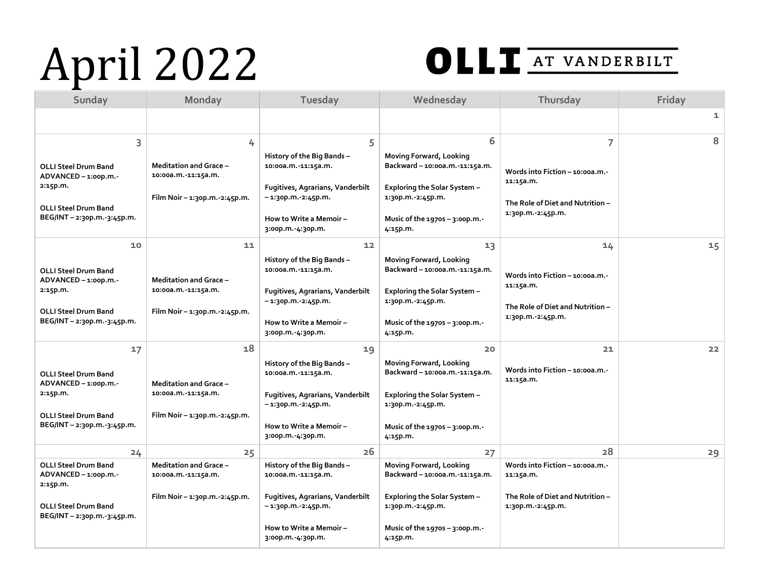## April 2022



| Sunday                                                                                                                               | Monday                                                                                        | Tuesday                                                                                                                                                                        | Wednesday                                                                                                                                                           | Thursday                                                                                                   | Friday |
|--------------------------------------------------------------------------------------------------------------------------------------|-----------------------------------------------------------------------------------------------|--------------------------------------------------------------------------------------------------------------------------------------------------------------------------------|---------------------------------------------------------------------------------------------------------------------------------------------------------------------|------------------------------------------------------------------------------------------------------------|--------|
|                                                                                                                                      |                                                                                               |                                                                                                                                                                                |                                                                                                                                                                     |                                                                                                            | 1      |
| 3<br><b>OLLI Steel Drum Band</b><br>ADVANCED - 1:00p.m.-<br>2:15p.m.<br><b>OLLI Steel Drum Band</b><br>BEG/INT - 2:30p.m. - 3:45p.m. | 4<br><b>Meditation and Grace -</b><br>10:00a.m.-11:15a.m.<br>Film Noir - 1:30p.m. - 2:45p.m.  | 5<br>History of the Big Bands -<br>10:00a.m.-11:15a.m.<br><b>Fugitives, Agrarians, Vanderbilt</b><br>$-1:3$ op.m. $-2:45$ p.m.<br>How to Write a Memoir –<br>3:00p.m. 4:30p.m. | 6<br>Moving Forward, Looking<br>Backward - 10:00a.m.-11:15a.m.<br>Exploring the Solar System -<br>1:30p.m.-2:45p.m.<br>Music of the $1970s - 3:00p.m.$<br>4:15p.m.  | 7<br>Words into Fiction - 10:00a.m.-<br>11:15a.m.<br>The Role of Diet and Nutrition -<br>1:30p.m.-2:45p.m. | 8      |
| 10<br><b>OLLI Steel Drum Band</b><br>ADVANCED - 1:00p.m.-<br>2:15p.m.<br><b>OLLI Steel Drum Band</b><br>BEG/INT - 2:30p.m. 3:45p.m.  | 11<br><b>Meditation and Grace -</b><br>10:00a.m.-11:15a.m.<br>Film Noir - 1:30p.m. - 2:45p.m. | 12<br>History of the Big Bands -<br>10:00a.m.-11:15a.m.<br>Fugitives, Agrarians, Vanderbilt<br>$-1:3$ op.m. $-2:45$ p.m.<br>How to Write a Memoir -<br>3:00p.m.-4:30p.m.       | 13<br>Moving Forward, Looking<br>Backward-10:00a.m.-11:15a.m.<br>Exploring the Solar System -<br>1:30p.m.-2:45p.m.<br>Music of the $1970s - 3:00p.m. -$<br>4:15p.m. | 14<br>Words into Fiction - 10:00a.m.<br>11:15a.m.<br>The Role of Diet and Nutrition -<br>1:30p.m.-2:45p.m. | 15     |
| 17<br><b>OLLI Steel Drum Band</b><br>ADVANCED-1:00p.m.-<br>2:15p.m.<br><b>OLLI Steel Drum Band</b><br>BEG/INT - 2:30p.m. 3:45p.m.    | 18<br><b>Meditation and Grace -</b><br>10:00a.m.-11:15a.m.<br>Film Noir - 1:30p.m. - 2:45p.m. | 19<br>History of the Big Bands -<br>10:00a.m.-11:15a.m.<br>Fugitives, Agrarians, Vanderbilt<br>-1:30p.m.-2:45p.m.<br>How to Write a Memoir -<br>3:00p.m. 4:30p.m.              | 20<br>Moving Forward, Looking<br>Backward-10:00a.m.-11:15a.m.<br>Exploring the Solar System -<br>1:30p.m.-2:45p.m.<br>Music of the 1970s - 3:00p.m.-<br>4:15p.m.    | 21<br>Words into Fiction - 10:00a.m.-<br>11:15a.m.                                                         | 22     |
| 24                                                                                                                                   | 25                                                                                            | 26                                                                                                                                                                             | 27                                                                                                                                                                  | 28                                                                                                         | 29     |
| <b>OLLI Steel Drum Band</b><br>ADVANCED-1:00p.m.-<br>2:15p.m.<br><b>OLLI Steel Drum Band</b><br>BEG/INT - 2:30p.m.-3:45p.m.          | <b>Meditation and Grace -</b><br>10:00a.m.-11:15a.m.<br>Film Noir – 1:30p.m. - 2:45p.m.       | History of the Big Bands-<br>10:00a.m.-11:15a.m.<br><b>Fugitives, Agrarians, Vanderbilt</b><br>$-1:3$ op.m. $-2:45$ p.m.<br>How to Write a Memoir -<br>3:00p.m.-4:30p.m.       | Moving Forward, Looking<br>Backward-10:00a.m.-11:15a.m.<br>Exploring the Solar System -<br>1:30p.m. 2:45p.m.<br>Music of the $1970s - 3:00p.m. -$<br>4:15p.m.       | Words into Fiction - 10:00a.m.-<br>11:15a.m.<br>The Role of Diet and Nutrition -<br>1:30p.m.-2:45p.m.      |        |